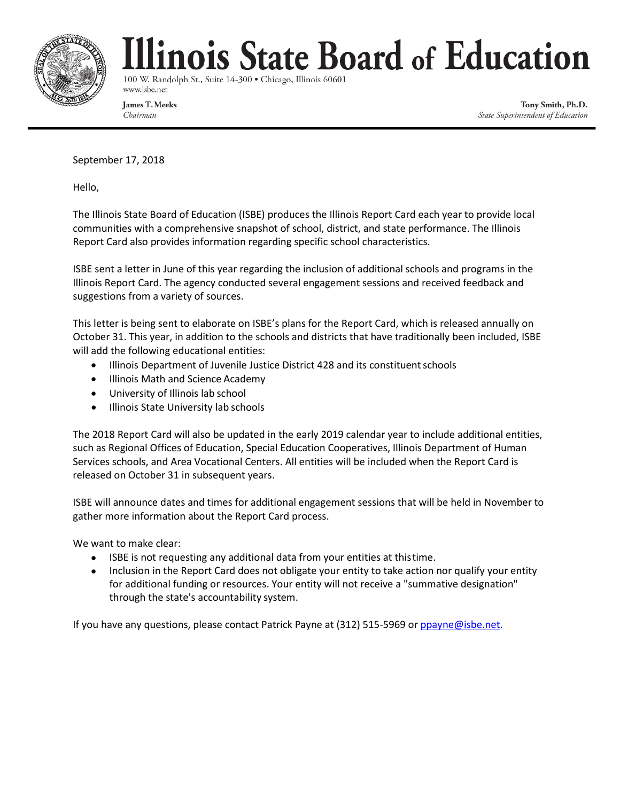

## linois State Board of Education

100 W. Randolph St., Suite 14-300 · Chicago, Illinois 60601 www.isbe.net

James T. Meeks Chairman

Tony Smith, Ph.D. State Superintendent of Education

September 17, 2018

Hello,

The Illinois State Board of Education (ISBE) produces the Illinois Report Card each year to provide local communities with a comprehensive snapshot of school, district, and state performance. The Illinois Report Card also provides information regarding specific school characteristics.

ISBE sent a letter in June of this year regarding the inclusion of additional schools and programs in the Illinois Report Card. The agency conducted several engagement sessions and received feedback and suggestions from a variety of sources.

This letter is being sent to elaborate on ISBE's plans for the Report Card, which is released annually on October 31. This year, in addition to the schools and districts that have traditionally been included, ISBE will add the following educational entities:

- Illinois Department of Juvenile Justice District 428 and its constituent schools
- Illinois Math and Science Academy
- University of Illinois lab school
- Illinois State University lab schools

The 2018 Report Card will also be updated in the early 2019 calendar year to include additional entities, such as Regional Offices of Education, Special Education Cooperatives, Illinois Department of Human Services schools, and Area Vocational Centers. All entities will be included when the Report Card is released on October 31 in subsequent years.

ISBE will announce dates and times for additional engagement sessions that will be held in November to gather more information about the Report Card process.

We want to make clear:

- ISBE is not requesting any additional data from your entities at thistime.
- Inclusion in the Report Card does not obligate your entity to take action nor qualify your entity for additional funding or resources. Your entity will not receive a "summative designation" through the state's accountability system.

If you have any questions, please contact Patrick Payne at (312) 515-5969 or [ppayne@isbe.net.](mailto:ppayne@isbe.net)